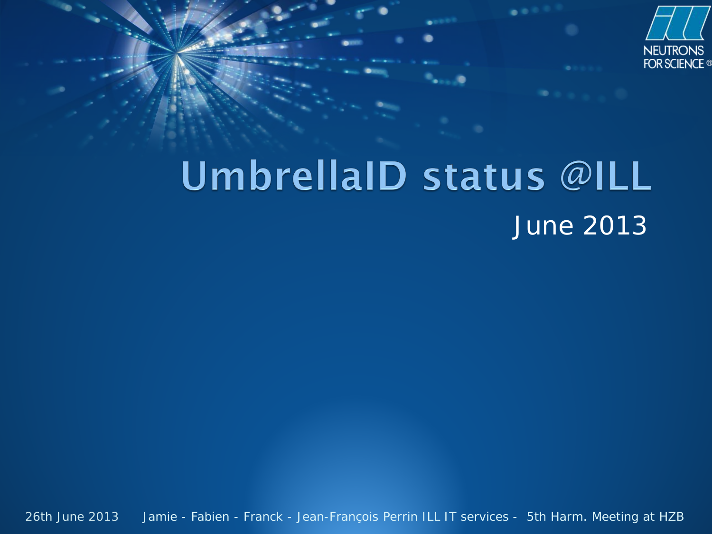

#### UmbrellaID status @ILL June 2013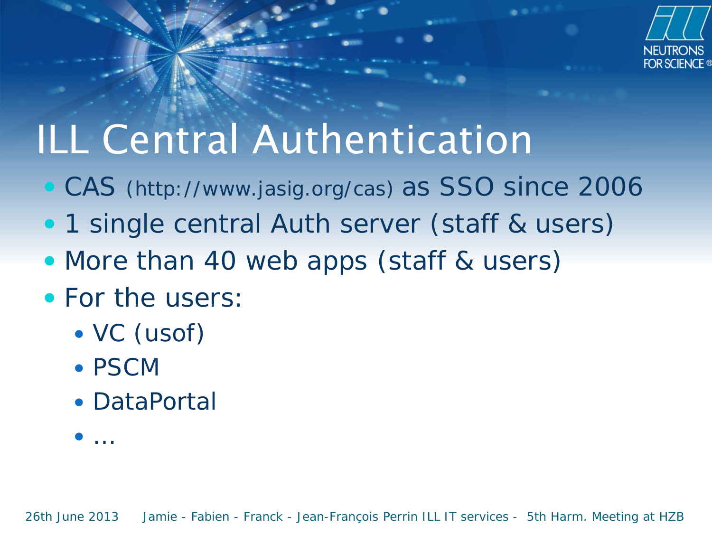

## ILL Central Authentication

- CAS (http://www.jasig.org/cas) as SSO since 2006
- 1 single central Auth server (staff & users)
- More than 40 web apps (staff & users)
- For the users:
	- VC (usof)
	- PSCM
	- DataPortal

…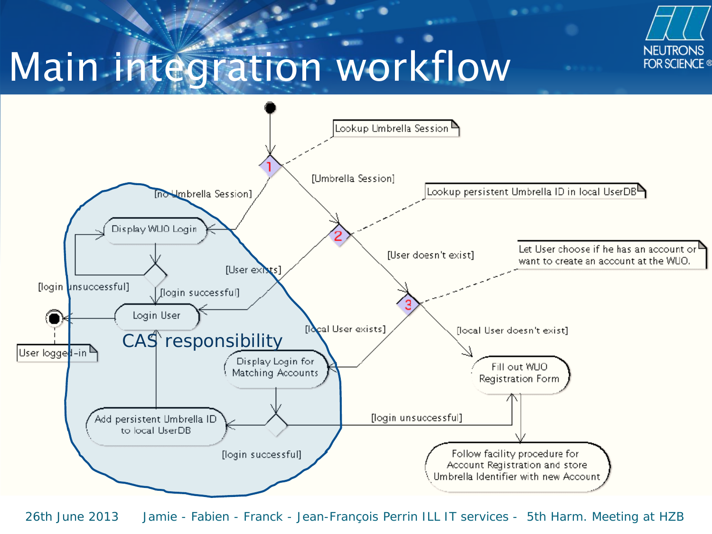

# Main integration workflow

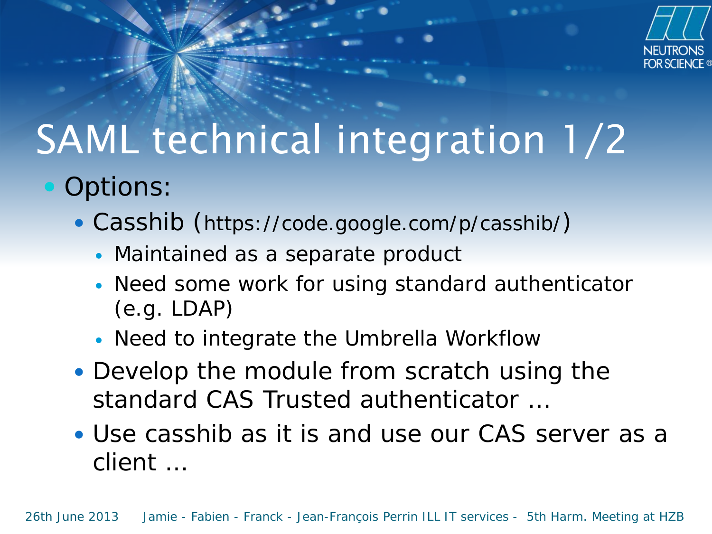

# SAML technical integration 1/2

- Options:
	- Casshib (https://code.google.com/p/casshib/)
		- Maintained as a separate product
		- Need some work for using standard authenticator (e.g. LDAP)
		- Need to integrate the Umbrella Workflow
	- Develop the module from scratch using the standard CAS Trusted authenticator …
	- Use casshib as it is and use our CAS server as a client …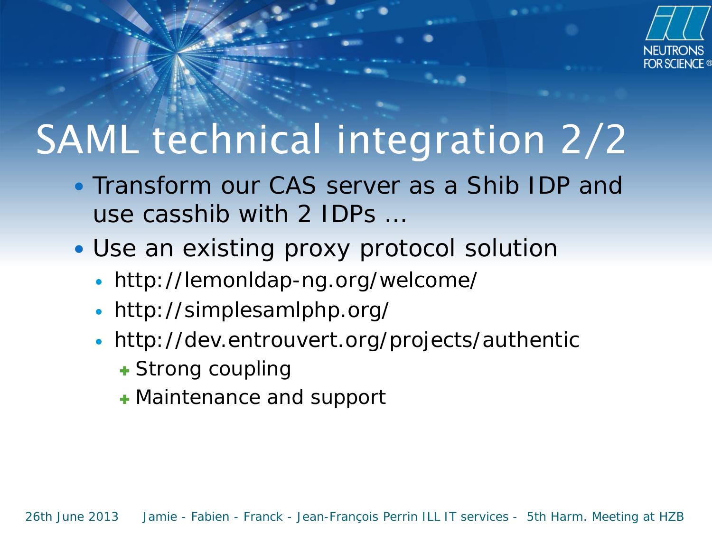

# SAML technical integration 2/2

- Transform our CAS server as a Shib IDP and use casshib with 2 IDPs …
- Use an existing proxy protocol solution
	- http://lemonldap-ng.org/welcome[/](http://simplesamlphp.org/)
	- http://simplesamlphp.org/
	- http://dev.entrouvert.org/projects/authentic
		- **+ Strong coupling**
		- Maintenance and support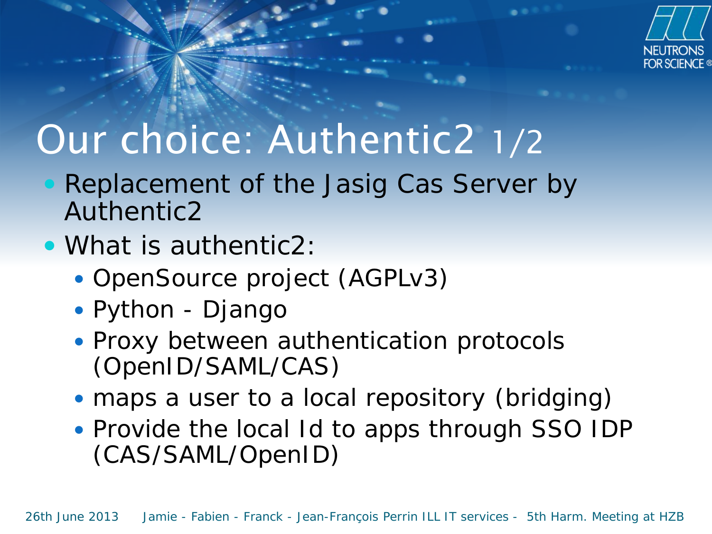

### Our choice: Authentic2 1/2

- Replacement of the Jasig Cas Server by Authentic2
- What is authentic2:
	- OpenSource project (AGPLv3)
	- Python Django
	- Proxy between authentication protocols (OpenID/SAML/CAS)
	- maps a user to a local repository (bridging)
	- Provide the local Id to apps through SSO IDP (CAS/SAML/OpenID)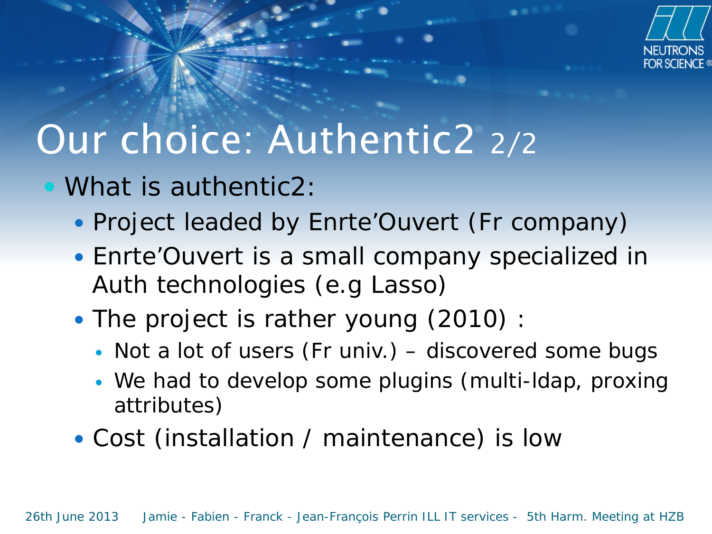

### Our choice: Authentic2 2/2

- What is authentic2:
	- Project leaded by Enrte'Ouvert (Fr company)
	- Enrte'Ouvert is a small company specialized in Auth technologies (e.g Lasso)
	- The project is rather young (2010) :
		- Not a lot of users (Fr univ.) discovered some bugs
		- We had to develop some plugins (multi-ldap, proxing attributes)
	- Cost (installation / maintenance) is low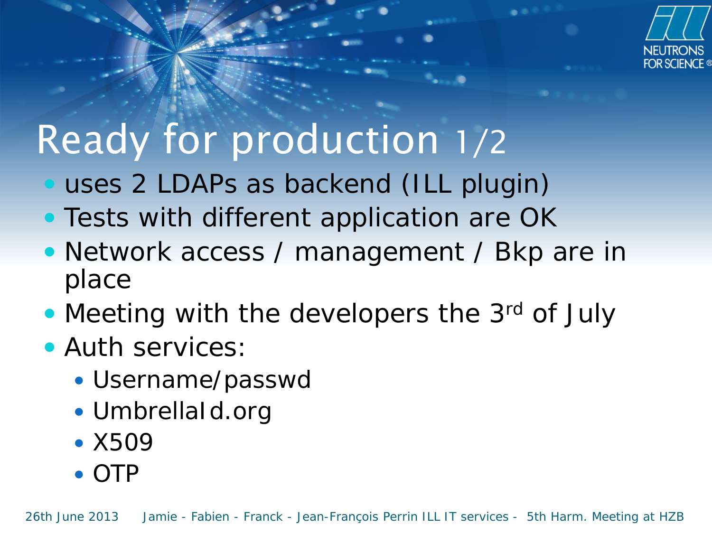

# Ready for production 1/2

- uses 2 LDAPs as backend (ILL plugin)
- Tests with different application are OK
- Network access / management / Bkp are in place
- Meeting with the developers the 3rd of July
- **Auth services:** 
	- Username/passwd
	- UmbrellaId.org
	- X509
	- OTP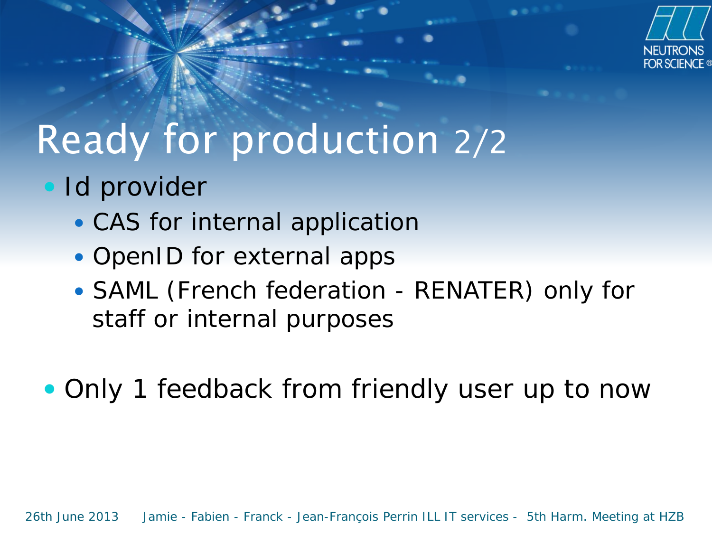

## Ready for production 2/2

- Id provider
	- CAS for internal application
	- OpenID for external apps
	- SAML (French federation RENATER) only for staff or internal purposes

• Only 1 feedback from friendly user up to now